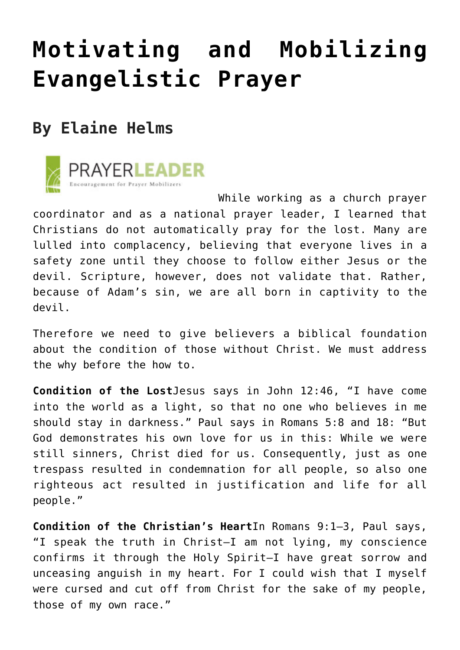## **[Motivating and Mobilizing](https://www.prayerleader.com/prayer-leader-15/) [Evangelistic Prayer](https://www.prayerleader.com/prayer-leader-15/)**

## **By Elaine Helms**



While working as a church prayer coordinator and as a national prayer leader, I learned that Christians do not automatically pray for the lost. Many are lulled into complacency, believing that everyone lives in a safety zone until they choose to follow either Jesus or the devil. Scripture, however, does not validate that. Rather, because of Adam's sin, we are all born in captivity to the devil.

Therefore we need to give believers a biblical foundation about the condition of those without Christ. We must address the why before the how to.

**Condition of the Lost**Jesus says in John 12:46, "I have come into the world as a light, so that no one who believes in me should stay in darkness." Paul says in Romans 5:8 and 18: "But God demonstrates his own love for us in this: While we were still sinners, Christ died for us. Consequently, just as one trespass resulted in condemnation for all people, so also one righteous act resulted in justification and life for all people."

**Condition of the Christian's Heart**In Romans 9:1–3, Paul says, "I speak the truth in Christ—I am not lying, my conscience confirms it through the Holy Spirit—I have great sorrow and unceasing anguish in my heart. For I could wish that I myself were cursed and cut off from Christ for the sake of my people, those of my own race."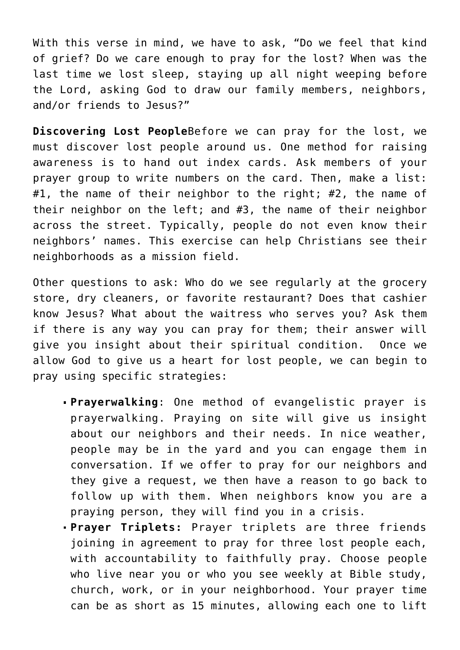With this verse in mind, we have to ask, "Do we feel that kind of grief? Do we care enough to pray for the lost? When was the last time we lost sleep, staying up all night weeping before the Lord, asking God to draw our family members, neighbors, and/or friends to Jesus?"

**Discovering Lost People**Before we can pray for the lost, we must discover lost people around us. One method for raising awareness is to hand out index cards. Ask members of your prayer group to write numbers on the card. Then, make a list: #1, the name of their neighbor to the right; #2, the name of their neighbor on the left; and #3, the name of their neighbor across the street. Typically, people do not even know their neighbors' names. This exercise can help Christians see their neighborhoods as a mission field.

Other questions to ask: Who do we see regularly at the grocery store, dry cleaners, or favorite restaurant? Does that cashier know Jesus? What about the waitress who serves you? Ask them if there is any way you can pray for them; their answer will give you insight about their spiritual condition. Once we allow God to give us a heart for lost people, we can begin to pray using specific strategies:

- **Prayerwalking**: One method of evangelistic prayer is prayerwalking. Praying on site will give us insight about our neighbors and their needs. In nice weather, people may be in the yard and you can engage them in conversation. If we offer to pray for our neighbors and they give a request, we then have a reason to go back to follow up with them. When neighbors know you are a praying person, they will find you in a crisis.
- **Prayer Triplets:** Prayer triplets are three friends joining in agreement to pray for three lost people each, with accountability to faithfully pray. Choose people who live near you or who you see weekly at Bible study, church, work, or in your neighborhood. Your prayer time can be as short as 15 minutes, allowing each one to lift